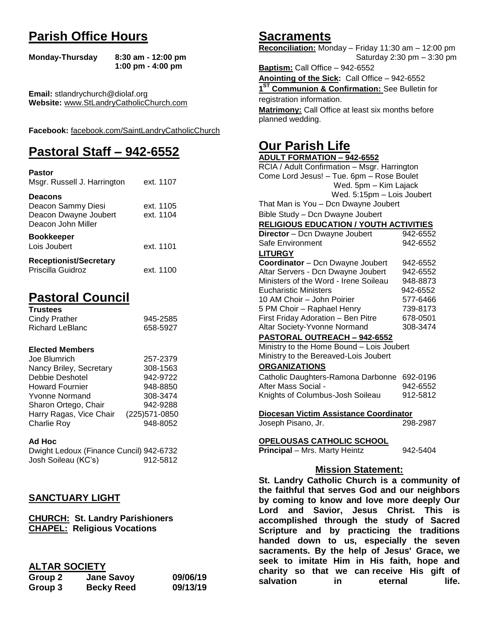# **Parish Office Hours**

```
Monday-Thursday 8:30 am - 12:00 pm
       1:00 pm - 4:00 pm
```
**Email:** stlandrychurch@diolaf.org **Website:** [www.StLandryCatholicChurch.com](http://www.stlandrycatholicchurch.com/)

**Facebook:** [facebook.com/SaintLandryCatholicChurch](http://facebook.com/SaintLandryCatholicChurch)

# **Pastoral Staff – 942-6552**

| Pastor<br>Msgr. Russell J. Harrington                                               | ext. 1107              |
|-------------------------------------------------------------------------------------|------------------------|
| <b>Deacons</b><br>Deacon Sammy Diesi<br>Deacon Dwayne Joubert<br>Deacon John Miller | ext. 1105<br>ext. 1104 |
| <b>Bookkeeper</b><br>Lois Joubert                                                   | ext. 1101              |
| <b>Receptionist/Secretary</b><br>Priscilla Guidroz                                  | ext. 1100              |

# **Pastoral Council**

| <b>Trustees</b> |          |
|-----------------|----------|
| Cindy Prather   | 945-2585 |
| Richard LeBlanc | 658-5927 |

#### **Elected Members**

| Joe Blumrich            | 257-2379       |
|-------------------------|----------------|
| Nancy Briley, Secretary | 308-1563       |
| Debbie Deshotel         | 942-9722       |
| <b>Howard Fournier</b>  | 948-8850       |
| <b>Yvonne Normand</b>   | 308-3474       |
| Sharon Ortego, Chair    | 942-9288       |
| Harry Ragas, Vice Chair | (225) 571-0850 |
| <b>Charlie Roy</b>      | 948-8052       |

#### **Ad Hoc**

Dwight Ledoux (Finance Cuncil) 942-6732 Josh Soileau (KC's) 912-5812

## **SANCTUARY LIGHT**

**CHURCH: St. Landry Parishioners CHAPEL: Religious Vocations**

## **ALTAR SOCIETY**

| Group 2 | <b>Jane Savoy</b> | 09/06/19 |
|---------|-------------------|----------|
| Group 3 | <b>Becky Reed</b> | 09/13/19 |

## **Sacraments**

**Reconciliation:** Monday – Friday 11:30 am – 12:00 pm Saturday 2:30 pm – 3:30 pm

**Baptism:** Call Office – 942-6552 **Anointing of the Sick:** Call Office – 942-6552 **1 ST Communion & Confirmation:** See Bulletin for registration information. **Matrimony:** Call Office at least six months before planned wedding.

## **Our Parish Life**

| <b>ADULT FORMATION - 942-6552</b>              |            |
|------------------------------------------------|------------|
| RCIA / Adult Confirmation - Msgr. Harrington   |            |
| Come Lord Jesus! - Tue. 6pm - Rose Boulet      |            |
| Wed. 5pm - Kim Lajack                          |            |
| Wed. 5:15pm - Lois Joubert                     |            |
| That Man is You - Dcn Dwayne Joubert           |            |
| Bible Study - Dcn Dwayne Joubert               |            |
| <b>RELIGIOUS EDUCATION / YOUTH ACTIVITIES</b>  |            |
| Director - Dcn Dwayne Joubert                  | 942-6552   |
| Safe Environment                               | 942-6552   |
| <b>LITURGY</b>                                 |            |
| Coordinator - Dcn Dwayne Joubert               | 942-6552   |
| Altar Servers - Dcn Dwayne Joubert             | 942-6552   |
| Ministers of the Word - Irene Soileau          | 948-8873   |
| <b>Eucharistic Ministers</b>                   | 942-6552   |
| 10 AM Choir - John Poirier                     | 577-6466   |
| 5 PM Choir - Raphael Henry                     | 739-8173   |
| First Friday Adoration - Ben Pitre             | 678-0501   |
| Altar Society-Yvonne Normand                   | 308-3474   |
| <b>PASTORAL OUTREACH - 942-6552</b>            |            |
| Ministry to the Home Bound - Lois Joubert      |            |
| Ministry to the Bereaved-Lois Joubert          |            |
| <b>ORGANIZATIONS</b>                           |            |
| Catholic Daughters-Ramona Darbonne             | 692-0196   |
| After Mass Social -                            | 942-6552   |
| Knights of Columbus-Josh Soileau               | 912-5812   |
|                                                |            |
| Diocesan Victim Assistance Coordinator         |            |
| Joseph Pisano, Jr.                             | 298-2987   |
|                                                |            |
| <u>OPELOUSAS CATHOLIC SCHOOL</u>               |            |
| Principal - Mrs. Marty Heintz                  | 942-5404   |
|                                                |            |
| <b>Mission Statement:</b>                      |            |
| St. Landry Catholic Church is a community of   |            |
| the faithful that serves God and our neighbors |            |
| by coming to know and love more deeply Our     |            |
| and Savior, Jesus Christ.<br>Lord              | This<br>is |
| accomplished through the study of Sacred       |            |
|                                                |            |

**Lord and Savior, Jesus Christ. This is accomplished through the study of Sacred Scripture and by practicing the traditions handed down to us, especially the seven sacraments. By the help of Jesus' Grace, we seek to imitate Him in His faith, hope and charity so that we can receive His gift of salvation in** eternal life.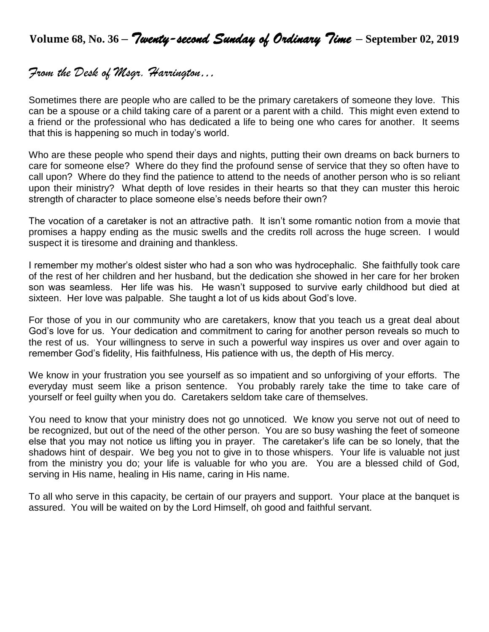**Volume 68, No. 36 –** *Twenty-second Sunday of Ordinary Time* **– September 02, <sup>2019</sup>**

## *From the Desk of Msgr. Harrington…*

Sometimes there are people who are called to be the primary caretakers of someone they love. This can be a spouse or a child taking care of a parent or a parent with a child. This might even extend to a friend or the professional who has dedicated a life to being one who cares for another. It seems that this is happening so much in today's world.

Who are these people who spend their days and nights, putting their own dreams on back burners to care for someone else? Where do they find the profound sense of service that they so often have to call upon? Where do they find the patience to attend to the needs of another person who is so reliant upon their ministry? What depth of love resides in their hearts so that they can muster this heroic strength of character to place someone else's needs before their own?

The vocation of a caretaker is not an attractive path. It isn't some romantic notion from a movie that promises a happy ending as the music swells and the credits roll across the huge screen. I would suspect it is tiresome and draining and thankless.

I remember my mother's oldest sister who had a son who was hydrocephalic. She faithfully took care of the rest of her children and her husband, but the dedication she showed in her care for her broken son was seamless. Her life was his. He wasn't supposed to survive early childhood but died at sixteen. Her love was palpable. She taught a lot of us kids about God's love.

For those of you in our community who are caretakers, know that you teach us a great deal about God's love for us. Your dedication and commitment to caring for another person reveals so much to the rest of us. Your willingness to serve in such a powerful way inspires us over and over again to remember God's fidelity, His faithfulness, His patience with us, the depth of His mercy.

We know in your frustration you see yourself as so impatient and so unforgiving of your efforts. The everyday must seem like a prison sentence. You probably rarely take the time to take care of yourself or feel guilty when you do. Caretakers seldom take care of themselves.

You need to know that your ministry does not go unnoticed. We know you serve not out of need to be recognized, but out of the need of the other person. You are so busy washing the feet of someone else that you may not notice us lifting you in prayer. The caretaker's life can be so lonely, that the shadows hint of despair. We beg you not to give in to those whispers. Your life is valuable not just from the ministry you do; your life is valuable for who you are. You are a blessed child of God, serving in His name, healing in His name, caring in His name.

To all who serve in this capacity, be certain of our prayers and support. Your place at the banquet is assured. You will be waited on by the Lord Himself, oh good and faithful servant.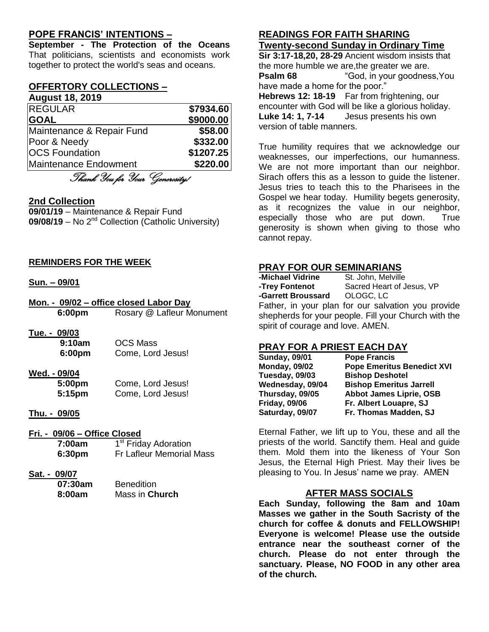## **POPE FRANCIS' INTENTIONS –**

**September - The Protection of the Oceans** That politicians, scientists and economists work together to protect the world's seas and oceans.

## **OFFERTORY COLLECTIONS –**

# **August 18, 2019**

| <b>REGULAR</b>            | \$7934.60 |
|---------------------------|-----------|
| <b>GOAL</b>               | \$9000.00 |
| Maintenance & Repair Fund | \$58.00   |
| Poor & Needy              | \$332.00  |
| <b>OCS Foundation</b>     | \$1207.25 |
| Maintenance Endowment     | \$220.00  |
|                           |           |

Thank You for Your Generosity!

## **2nd Collection**

**09/01/19** – Maintenance & Repair Fund **09/08/19** – No 2nd Collection (Catholic University)

#### **REMINDERS FOR THE WEEK**

#### **Sun. – 09/01**

- **Mon. - 09/02 – office closed Labor Day 6:00pm** Rosary @ Lafleur Monument
- **Tue. - 09/03**

| 9:10am | <b>OCS Mass</b>   |
|--------|-------------------|
| 6:00pm | Come, Lord Jesus! |

## **Wed. - 09/04**

| 5:00pm | Come, Lord Jesus! |
|--------|-------------------|
| 5:15pm | Come, Lord Jesus! |

## **Thu. - 09/05**

#### **Fri. - 09/06 – Office Closed**

| 7:00am | 1 <sup>st</sup> Friday Adoration |
|--------|----------------------------------|
| 6:30pm | <b>Fr Lafleur Memorial Mass</b>  |

#### **Sat. - 09/07**

| 07:30am | <b>Benedition</b> |
|---------|-------------------|
| 8:00am  | Mass in Church    |

#### **READINGS FOR FAITH SHARING Twenty-second Sunday in Ordinary Time**

**Sir 3:17-18,20, 28-29** Ancient wisdom insists that the more humble we are,the greater we are. **Psalm 68** "God, in your goodness, You have made a home for the poor." **Hebrews 12: 18-19** Far from frightening, our encounter with God will be like a glorious holiday. **Luke 14: 1, 7-14** Jesus presents his own version of table manners.

True humility requires that we acknowledge our weaknesses, our imperfections, our humanness. We are not more important than our neighbor. Sirach offers this as a lesson to guide the listener. Jesus tries to teach this to the Pharisees in the Gospel we hear today. Humility begets generosity, as it recognizes the value in our neighbor, especially those who are put down. True generosity is shown when giving to those who cannot repay.

## **PRAY FOR OUR SEMINARIANS**

| -Michael Vidrine                  | St. John, Melville                                   |
|-----------------------------------|------------------------------------------------------|
| -Trey Fontenot                    | Sacred Heart of Jesus, VP                            |
| -Garrett Broussard OLOGC, LC      |                                                      |
|                                   | Father, in your plan for our salvation you provide   |
|                                   | shepherds for your people. Fill your Church with the |
| spirit of courage and love. AMEN. |                                                      |

## **PRAY FOR A PRIEST EACH DAY**

| <b>Sunday, 09/01</b> | <b>Pope Francis</b>               |
|----------------------|-----------------------------------|
| <b>Monday, 09/02</b> | <b>Pope Emeritus Benedict XVI</b> |
| Tuesday, 09/03       | <b>Bishop Deshotel</b>            |
| Wednesday, 09/04     | <b>Bishop Emeritus Jarrell</b>    |
| Thursday, 09/05      | <b>Abbot James Liprie, OSB</b>    |
| <b>Friday, 09/06</b> | Fr. Albert Louapre, SJ            |
| Saturday, 09/07      | Fr. Thomas Madden, SJ             |

Eternal Father, we lift up to You, these and all the priests of the world. Sanctify them. Heal and guide them. Mold them into the likeness of Your Son Jesus, the Eternal High Priest. May their lives be pleasing to You. In Jesus' name we pray. AMEN

## **AFTER MASS SOCIALS**

**Each Sunday, following the 8am and 10am Masses we gather in the South Sacristy of the church for coffee & donuts and FELLOWSHIP! Everyone is welcome! Please use the outside entrance near the southeast corner of the church. Please do not enter through the sanctuary. Please, NO FOOD in any other area of the church.**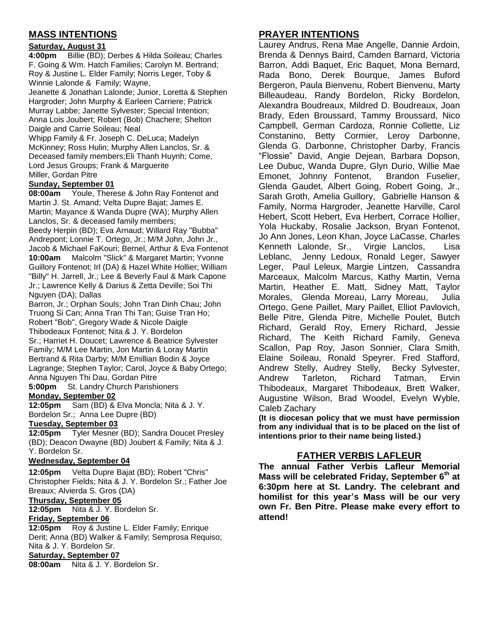## **MASS INTENTIONS**

#### **Saturday, August 31**

**4:00pm** Billie (BD); Derbes & Hilda Soileau; Charles F. Going & Wm. Hatch Families; Carolyn M. Bertrand; Roy & Justine L. Elder Family; Norris Leger, Toby & Winnie Lalonde & Family; Wayne,

Jeanette & Jonathan Lalonde; Junior, Loretta & Stephen Hargroder; John Murphy & Earleen Carriere; Patrick Murray Labbe; Janette Sylvester; Special Intention; Anna Lois Joubert; Robert (Bob) Chachere; Shelton Daigle and Carrie Soileau; Neal

Whipp Family & Fr. Joseph C. DeLuca; Madelyn McKinney; Ross Hulin; Murphy Allen Lanclos, Sr. & Deceased family members;Eli Thanh Huynh; Come, Lord Jesus Groups; Frank & Marguerite Miller, Gordan Pitre

#### **Sunday, September 01**

**08:00am** Youle, Therese & John Ray Fontenot and Martin J. St. Amand; Velta Dupre Bajat; James E. Martin; Mayance & Wanda Dupre (WA); Murphy Allen Lanclos, Sr. & deceased family members; Beedy Herpin (BD); Eva Arnaud; Willard Ray "Bubba" Andrepont; Lonnie T. Ortego, Jr.; M/M John, John Jr., Jacob & Michael FaKouri; Bernel, Arthur & Eva Fontenot **10:00am** Malcolm "Slick" & Margaret Martin; Yvonne Guillory Fontenot; Irl (DA) & Hazel White Hollier; William "Billy" H. Jarrell, Jr.; Lee & Beverly Faul & Mark Capone Jr.; Lawrence Kelly & Darius & Zetta Deville; Soi Thi Nguyen (DA); Dallas

Barron, Jr.; Orphan Souls; John Tran Dinh Chau; John Truong Si Can; Anna Tran Thi Tan; Guise Tran Ho; Robert "Bob", Gregory Wade & Nicole Daigle Thibodeaux Fontenot; Nita & J. Y. Bordelon Sr.; Harriet H. Doucet; Lawrence & Beatrice Sylvester Family; M/M Lee Martin, Jon Martin & Loray Martin Bertrand & Rita Darby; M/M Emillian Bodin & Joyce Lagrange; Stephen Taylor; Carol, Joyce & Baby Ortego; Anna Nguyen Thi Dau, Gordan Pitre

**5:00pm** St. Landry Church Parishioners

## **Monday, September 02**

**12:05pm** Sam (BD) & Elva Moncla; Nita & J. Y. Bordelon Sr.; Anna Lee Dupre (BD)

#### **Tuesday, September 03**

**12:05pm** Tyler Mesner (BD); Sandra Doucet Presley (BD); Deacon Dwayne (BD) Joubert & Family; Nita & J. Y. Bordelon Sr.

#### **Wednesday, September 04**

**12:05pm** Velta Dupre Bajat (BD); Robert "Chris" Christopher Fields; Nita & J. Y. Bordelon Sr.; Father Joe Breaux; Alvierda S. Gros (DA)

**Thursday, September 05**

**12:05pm** Nita & J. Y. Bordelon Sr.

#### **Friday, September 06**

**12:05pm** Roy & Justine L. Elder Family; Enrique Derit; Anna (BD) Walker & Family; Semprosa Requiso; Nita & J. Y. Bordelon Sr.

#### **Saturday, September 07**

**08:00am** Nita & J. Y. Bordelon Sr.

## **PRAYER INTENTIONS**

Laurey Andrus, Rena Mae Angelle, Dannie Ardoin, Brenda & Dennys Baird, Camden Barnard, Victoria Barron, Addi Baquet, Eric Baquet, Mona Bernard, Rada Bono, Derek Bourque, James Buford Bergeron, Paula Bienvenu, Robert Bienvenu, Marty Billeaudeau, Randy Bordelon, Ricky Bordelon, Alexandra Boudreaux, Mildred D. Boudreaux, Joan Brady, Eden Broussard, Tammy Broussard, Nico Campbell, German Cardoza, Ronnie Collette, Liz Constanino, Betty Cormier, Leroy Darbonne, Glenda G. Darbonne, Christopher Darby, Francis "Flossie" David, Angie Dejean, Barbara Dopson, Lee Dubuc, Wanda Dupre, Glyn Durio, Willie Mae Emonet, Johnny Fontenot, Brandon Fuselier, Glenda Gaudet, Albert Going, Robert Going, Jr., Sarah Groth, Amelia Guillory, Gabrielle Hanson & Family, Norma Hargroder, Jeanette Harville, Carol Hebert, Scott Hebert, Eva Herbert, Corrace Hollier, Yola Huckaby, Rosalie Jackson, Bryan Fontenot, Jo Ann Jones, Leon Khan, Joyce LaCasse, Charles Kenneth Lalonde, Sr., Virgie Lanclos, Lisa Leblanc, Jenny Ledoux, Ronald Leger, Sawyer Leger, Paul Leleux, Margie Lintzen, Cassandra Marceaux, Malcolm Marcus, Kathy Martin, Verna Martin, Heather E. Matt, Sidney Matt, Taylor Morales, Glenda Moreau, Larry Moreau, Julia Ortego, Gene Paillet, Mary Paillet, Elliot Pavlovich, Belle Pitre, Glenda Pitre, Michelle Poulet, Butch Richard, Gerald Roy, Emery Richard, Jessie Richard, The Keith Richard Family, Geneva Scallon, Pap Roy, Jason Sonnier, Clara Smith, Elaine Soileau, Ronald Speyrer. Fred Stafford, Andrew Stelly, Audrey Stelly, Becky Sylvester, Andrew Tarleton, Richard Tatman, Ervin Thibodeaux, Margaret Thibodeaux, Brett Walker, Augustine Wilson, Brad Woodel, Evelyn Wyble, Caleb Zachary

**(It is diocesan policy that we must have permission from any individual that is to be placed on the list of intentions prior to their name being listed.)**

## **FATHER VERBIS LAFLEUR**

**The annual Father Verbis Lafleur Memorial Mass will be celebrated Friday, September 6th at 6:30pm here at St. Landry. The celebrant and homilist for this year's Mass will be our very own Fr. Ben Pitre. Please make every effort to attend!**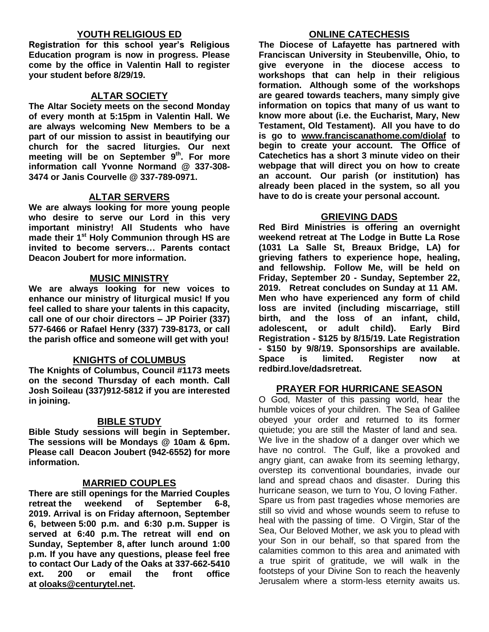## **YOUTH RELIGIOUS ED**

**Registration for this school year's Religious Education program is now in progress. Please come by the office in Valentin Hall to register your student before 8/29/19.**

### **ALTAR SOCIETY**

**The Altar Society meets on the second Monday of every month at 5:15pm in Valentin Hall. We are always welcoming New Members to be a part of our mission to assist in beautifying our church for the sacred liturgies. Our next meeting will be on September 9 th . For more information call Yvonne Normand @ 337-308- 3474 or Janis Courvelle @ 337-789-0971.** 

## **ALTAR SERVERS**

**We are always looking for more young people who desire to serve our Lord in this very important ministry! All Students who have made their 1st Holy Communion through HS are invited to become servers… Parents contact Deacon Joubert for more information.**

### **MUSIC MINISTRY**

**We are always looking for new voices to enhance our ministry of liturgical music! If you feel called to share your talents in this capacity, call one of our choir directors – JP Poirier (337) 577-6466 or Rafael Henry (337) 739-8173, or call the parish office and someone will get with you!**

## **KNIGHTS of COLUMBUS**

**The Knights of Columbus, Council #1173 meets on the second Thursday of each month. Call Josh Soileau (337)912-5812 if you are interested in joining.** 

#### **BIBLE STUDY**

**Bible Study sessions will begin in September. The sessions will be Mondays @ 10am & 6pm. Please call Deacon Joubert (942-6552) for more information.**

#### **MARRIED COUPLES**

**There are still openings for the Married Couples retreat the weekend of September 6-8, 2019. Arrival is on Friday afternoon, September 6, between 5:00 p.m. and 6:30 p.m. Supper is served at 6:40 p.m. The retreat will end on Sunday, September 8, after lunch around 1:00 p.m. If you have any questions, please feel free to contact Our Lady of the Oaks at 337-662-5410 ext. 200 or email the front office at [oloaks@centurytel.net.](mailto:oloaks@centurytel.net)**

### **ONLINE CATECHESIS**

**The Diocese of Lafayette has partnered with Franciscan University in Steubenville, Ohio, to give everyone in the diocese access to workshops that can help in their religious formation. Although some of the workshops are geared towards teachers, many simply give information on topics that many of us want to know more about (i.e. the Eucharist, Mary, New Testament, Old Testament). All you have to do is go to [www.franciscanathome.com/diolaf](http://www.franciscanathome.com/diolaf) to begin to create your account. The Office of Catechetics has a short 3 minute video on their webpage that will direct you on how to create an account. Our parish (or institution) has already been placed in the system, so all you have to do is create your personal account.**

### **GRIEVING DADS**

**Red Bird Ministries is offering an overnight weekend retreat at The Lodge in Butte La Rose (1031 La Salle St, Breaux Bridge, LA) for grieving fathers to experience hope, healing, and fellowship. Follow Me, will be held on Friday, September 20 - Sunday, September 22, 2019. Retreat concludes on Sunday at 11 AM. Men who have experienced any form of child loss are invited (including miscarriage, still birth, and the loss of an infant, child, adolescent, or adult child). Early Bird Registration - \$125 by 8/15/19. Late Registration - \$150 by 9/8/19. Sponsorships are available. Space is limited. Register now at redbird.love/dadsretreat.**

#### **PRAYER FOR HURRICANE SEASON**

O God, Master of this passing world, hear the humble voices of your children. The Sea of Galilee obeyed your order and returned to its former quietude; you are still the Master of land and sea. We live in the shadow of a danger over which we have no control. The Gulf, like a provoked and angry giant, can awake from its seeming lethargy, overstep its conventional boundaries, invade our land and spread chaos and disaster. During this hurricane season, we turn to You, O loving Father. Spare us from past tragedies whose memories are still so vivid and whose wounds seem to refuse to heal with the passing of time. O Virgin, Star of the Sea, Our Beloved Mother, we ask you to plead with your Son in our behalf, so that spared from the calamities common to this area and animated with a true spirit of gratitude, we will walk in the footsteps of your Divine Son to reach the heavenly Jerusalem where a storm-less eternity awaits us.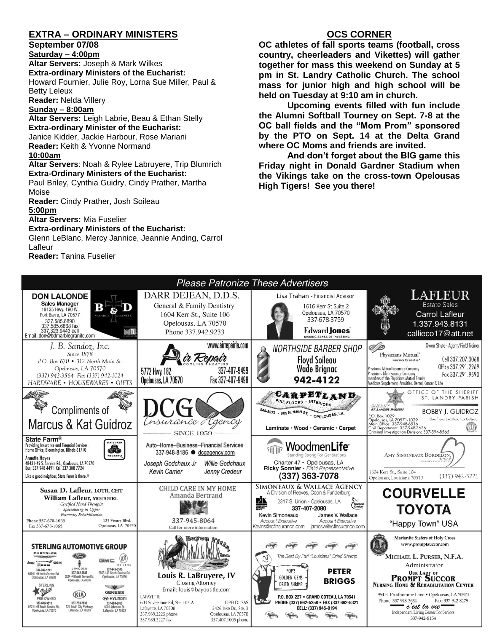## **EXTRA – ORDINARY MINISTERS**

#### **September 07/08**

**Saturday – 4:00pm** 

**Altar Servers:** Joseph & Mark Wilkes **Extra-ordinary Ministers of the Eucharist:**  Howard Fournier, Julie Roy, Lorna Sue Miller, Paul & Betty Leleux

**Reader:** Nelda Villery

#### **Sunday – 8:00am**

**Altar Servers:** Leigh Labrie, Beau & Ethan Stelly **Extra-ordinary Minister of the Eucharist:** Janice Kidder, Jackie Harbour, Rose Mariani **Reader:** Keith & Yvonne Normand **10:00am**

#### **Altar Servers**: Noah & Rylee Labruyere, Trip Blumrich **Extra-Ordinary Ministers of the Eucharist:**

Paul Briley, Cynthia Guidry, Cindy Prather, Martha Moise

**Reader:** Cindy Prather, Josh Soileau **5:00pm** 

**Altar Servers:** Mia Fuselier

#### **Extra-ordinary Ministers of the Eucharist:**

Glenn LeBlanc, Mercy Jannice, Jeannie Anding, Carrol Lafleur

**Reader:** Tanina Fuselier

## **OCS CORNER**

**OC athletes of fall sports teams (football, cross country, cheerleaders and Vikettes) will gather together for mass this weekend on Sunday at 5 pm in St. Landry Catholic Church. The school mass for junior high and high school will be held on Tuesday at 9:10 am in church.** 

**Upcoming events filled with fun include the Alumni Softball Tourney on Sept. 7-8 at the OC ball fields and the "Mom Prom" sponsored by the PTO on Sept. 14 at the Delta Grand where OC Moms and friends are invited.** 

**And don't forget about the BIG game this Friday night in Donald Gardner Stadium when the Vikings take on the cross-town Opelousas High Tigers! See you there!**